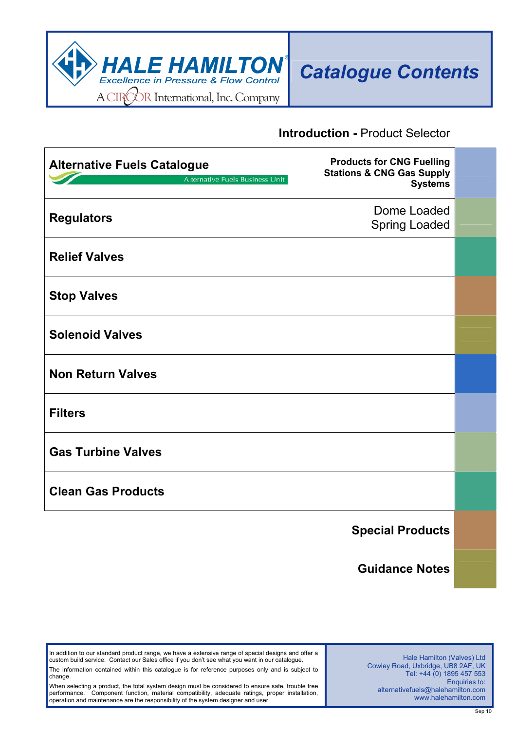

#### **Introduction -** Product Selector

| <b>Alternative Fuels Catalogue</b><br><b>Soldiers</b><br>Alternative Fuels Business Unit | <b>Products for CNG Fuelling</b><br><b>Stations &amp; CNG Gas Supply</b><br><b>Systems</b> |  |
|------------------------------------------------------------------------------------------|--------------------------------------------------------------------------------------------|--|
| <b>Regulators</b>                                                                        | Dome Loaded<br><b>Spring Loaded</b>                                                        |  |
| <b>Relief Valves</b>                                                                     |                                                                                            |  |
| <b>Stop Valves</b>                                                                       |                                                                                            |  |
| <b>Solenoid Valves</b>                                                                   |                                                                                            |  |
| <b>Non Return Valves</b>                                                                 |                                                                                            |  |
| <b>Filters</b>                                                                           |                                                                                            |  |
| <b>Gas Turbine Valves</b>                                                                |                                                                                            |  |
| <b>Clean Gas Products</b>                                                                |                                                                                            |  |
|                                                                                          | <b>Special Products</b>                                                                    |  |
|                                                                                          | <b>Guidance Notes</b>                                                                      |  |

In addition to our standard product range, we have a extensive range of special designs and offer a custom build service. Contact our Sales office if you don't see what you want in our catalogue. The information contained within this catalogue is for reference purposes only and is subject to change.

When selecting a product, the total system design must be considered to ensure safe, trouble free performance. Component function, material compatibility, adequate ratings, proper installation, operation and maintenance are the responsibility of the system designer and user.

Hale Hamilton (Valves) Ltd Cowley Road, Uxbridge, UB8 2AF, UK Tel: +44 (0) 1895 457 553 Enquiries to: alternativefuels@halehamilton.com www.halehamilton.com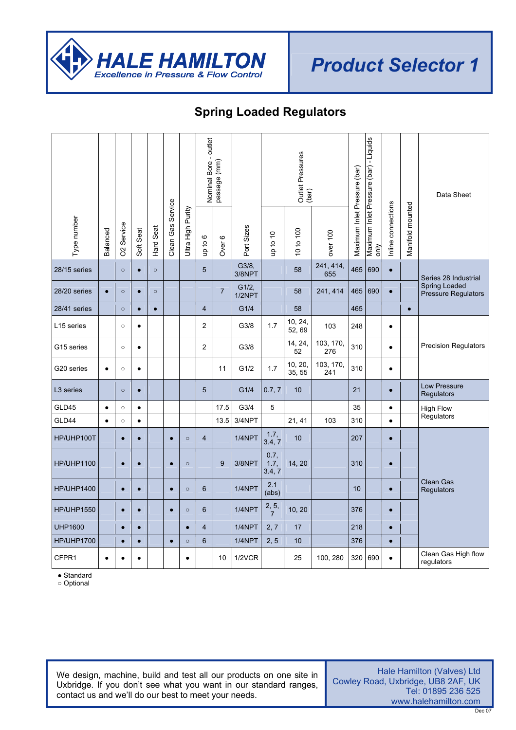

## **Spring Loaded Regulators**

|                       |           |                        |           |           |                   |                   | outlet                  | Nominal Bore -<br>passage (mm) |                    |                         | Outlet Pressures<br>(bar) |                  |                              | Maximum Inlet Pressure (bar) - Liquids |                    |                  | Data Sheet                                  |
|-----------------------|-----------|------------------------|-----------|-----------|-------------------|-------------------|-------------------------|--------------------------------|--------------------|-------------------------|---------------------------|------------------|------------------------------|----------------------------------------|--------------------|------------------|---------------------------------------------|
| Type number           | Balanced  | O <sub>2</sub> Service | Soft Seat | Hard Seat | Clean Gas Service | Ultra High Purity | op to 6                 | ဖ<br>Over                      | Port Sizes         | up to 10                | 10 to 100                 | over 100         | Maximum Inlet Pressure (bar) | $\frac{1}{2}$                          | Inline connections | Manifold mounted |                                             |
| 28/15 series          |           | $\circ$                | $\bullet$ | $\circ$   |                   |                   | 5                       |                                | G3/8,<br>3/8NPT    |                         | 58                        | 241, 414,<br>655 | 465                          | 690                                    | $\bullet$          |                  | Series 28 Industrial                        |
| 28/20 series          | $\bullet$ | $\circ$                | $\bullet$ | $\circ$   |                   |                   |                         | $\overline{7}$                 | $G1/2$ ,<br>1/2NPT |                         | 58                        | 241, 414         | 465                          | 690                                    | $\bullet$          |                  | Spring Loaded<br><b>Pressure Regulators</b> |
| 28/41 series          |           | $\circ$                | $\bullet$ | $\bullet$ |                   |                   | $\overline{4}$          |                                | G1/4               |                         | 58                        |                  | 465                          |                                        |                    | $\bullet$        |                                             |
| L15 series            |           | $\circ$                | $\bullet$ |           |                   |                   | $\overline{2}$          |                                | G3/8               | 1.7                     | 10, 24,<br>52,69          | 103              | 248                          |                                        | $\bullet$          |                  |                                             |
| G15 series            |           | $\circ$                | $\bullet$ |           |                   |                   | $\overline{2}$          |                                | G3/8               |                         | 14, 24,<br>52             | 103, 170,<br>276 | 310                          |                                        | $\bullet$          |                  | <b>Precision Regulators</b>                 |
| G20 series            | $\bullet$ | $\circ$                | $\bullet$ |           |                   |                   |                         | 11                             | G1/2               | 1.7                     | 10, 20,<br>35, 55         | 103, 170,<br>241 | 310                          |                                        | $\bullet$          |                  |                                             |
| L <sub>3</sub> series |           | $\circ$                | $\bullet$ |           |                   |                   | 5                       |                                | G1/4               | 0.7, 7                  | 10                        |                  | 21                           |                                        | $\bullet$          |                  | Low Pressure<br>Regulators                  |
| GLD45                 | $\bullet$ | $\circ$                | $\bullet$ |           |                   |                   |                         | 17.5                           | G3/4               | 5                       |                           |                  | 35                           |                                        | $\bullet$          |                  | <b>High Flow</b>                            |
| GLD44                 | $\bullet$ | $\circ$                | $\bullet$ |           |                   |                   |                         | 13.5                           | 3/4NPT             |                         | 21, 41                    | 103              | 310                          |                                        | $\bullet$          |                  | Regulators                                  |
| HP/UHP100T            |           | $\bullet$              | $\bullet$ |           | $\bullet$         | $\circ$           | $\overline{4}$          |                                | 1/4NPT             | 1.7,<br>3.4, 7          | 10                        |                  | 207                          |                                        | $\bullet$          |                  |                                             |
| <b>HP/UHP1100</b>     |           | $\bullet$              | $\bullet$ |           | $\bullet$         | $\circ$           |                         | 9                              | 3/8NPT             | 0.7.<br>1.7,<br>3.4, 7  | 14, 20                    |                  | 310                          |                                        | $\bullet$          |                  |                                             |
| <b>HP/UHP1400</b>     |           | $\bullet$              | $\bullet$ |           | $\bullet$         | $\circ$           | 6                       |                                | 1/4NPT             | 2.1<br>(abs)            |                           |                  | 10                           |                                        | $\bullet$          |                  | <b>Clean Gas</b><br>Regulators              |
| <b>HP/UHP1550</b>     |           | $\bullet$              | $\bullet$ |           | $\bullet$         | $\circ$           | 6                       |                                | $1/4$ NPT          | 2, 5,<br>$\overline{7}$ | 10, 20                    |                  | 376                          |                                        | $\bullet$          |                  |                                             |
| <b>UHP1600</b>        |           | $\bullet$              | $\bullet$ |           |                   | $\bullet$         | $\overline{\mathbf{4}}$ |                                | 1/4NPT             | 2, 7                    | 17                        |                  | 218                          |                                        | $\bullet$          |                  |                                             |
| <b>HP/UHP1700</b>     |           | $\bullet$              | $\bullet$ |           | $\bullet$         | $\circ$           | $6\phantom{1}$          |                                | 1/4NPT             | 2, 5                    | 10                        |                  | 376                          |                                        | $\bullet$          |                  |                                             |
| CFPR1                 | $\bullet$ |                        | $\bullet$ |           |                   | $\bullet$         |                         | 10                             | 1/2VCR             |                         | 25                        | 100, 280         | 320                          | 690                                    | $\bullet$          |                  | Clean Gas High flow<br>regulators           |

● Standard

○ Optional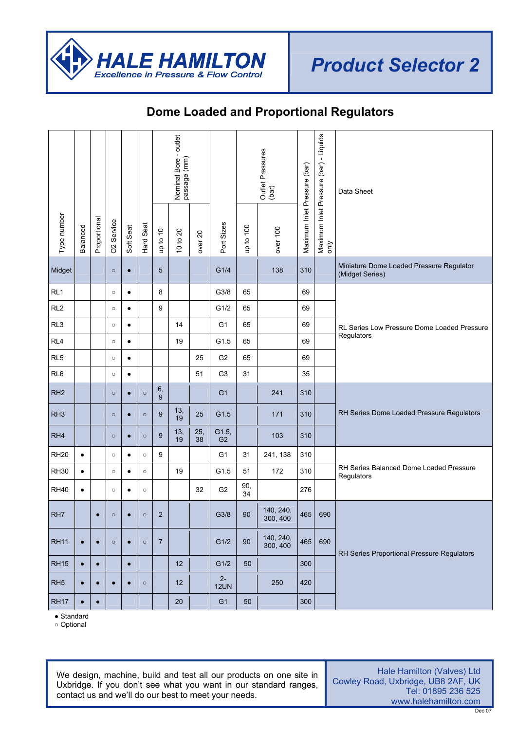

### **Dome Loaded and Proportional Regulators**

|                 |           |              |                        |           |           |                | Nominal Bore - outlet<br>passage (mm) |                    |                         |           | Outlet Pressures<br>(bar) | Maximum Inlet Pressure (bar) | Maximum Inlet Pressure (bar) - Liquids<br>only | Data Sheet                                                  |
|-----------------|-----------|--------------|------------------------|-----------|-----------|----------------|---------------------------------------|--------------------|-------------------------|-----------|---------------------------|------------------------------|------------------------------------------------|-------------------------------------------------------------|
| Type number     | Balanced  | Proportional | O <sub>2</sub> Service | Soft Seat | Hard Seat | up to 10       | 10 to 20                              | over <sub>20</sub> | Port Sizes              | up to 100 | over 100                  |                              |                                                |                                                             |
| Midget          |           |              | $\circ$                | $\bullet$ |           | 5              |                                       |                    | G1/4                    |           | 138                       | 310                          |                                                | Miniature Dome Loaded Pressure Regulator<br>(Midget Series) |
| RL <sub>1</sub> |           |              | $\circ$                | $\bullet$ |           | 8              |                                       |                    | G3/8                    | 65        |                           | 69                           |                                                |                                                             |
| RL <sub>2</sub> |           |              | $\circ$                | ٠         |           | 9              |                                       |                    | G1/2                    | 65        |                           | 69                           |                                                |                                                             |
| RL <sub>3</sub> |           |              | $\circ$                | $\bullet$ |           |                | 14                                    |                    | G <sub>1</sub>          | 65        |                           | 69                           |                                                | RL Series Low Pressure Dome Loaded Pressure                 |
| RL4             |           |              | $\circ$                | $\bullet$ |           |                | 19                                    |                    | G1.5                    | 65        |                           | 69                           |                                                | Regulators                                                  |
| RL <sub>5</sub> |           |              | $\circ$                | $\bullet$ |           |                |                                       | 25                 | G <sub>2</sub>          | 65        |                           | 69                           |                                                |                                                             |
| RL <sub>6</sub> |           |              | $\circ$                | $\bullet$ |           |                |                                       | 51                 | G <sub>3</sub>          | 31        |                           | 35                           |                                                |                                                             |
| RH <sub>2</sub> |           |              | $\circ$                | $\bullet$ | $\circ$   | $\frac{6}{9}$  |                                       |                    | G <sub>1</sub>          |           | 241                       | 310                          |                                                |                                                             |
| RH <sub>3</sub> |           |              | $\circ$                | $\bullet$ | $\circ$   | 9              | 13,<br>19                             | 25                 | G1.5                    |           | 171                       | 310                          |                                                | RH Series Dome Loaded Pressure Regulators                   |
| RH <sub>4</sub> |           |              | $\circ$                | $\bullet$ | $\circ$   | 9              | 13,<br>19                             | 25,<br>38          | G1.5,<br>G <sub>2</sub> |           | 103                       | 310                          |                                                |                                                             |
| <b>RH20</b>     | $\bullet$ |              | $\circ$                | $\bullet$ | $\circ$   | 9              |                                       |                    | G <sub>1</sub>          | 31        | 241, 138                  | 310                          |                                                |                                                             |
| <b>RH30</b>     | $\bullet$ |              | $\circ$                | $\bullet$ | $\circ$   |                | 19                                    |                    | G1.5                    | 51        | 172                       | 310                          |                                                | RH Series Balanced Dome Loaded Pressure<br>Regulators       |
| <b>RH40</b>     | $\bullet$ |              | $\circ$                | $\bullet$ | $\circ$   |                |                                       | 32                 | G <sub>2</sub>          | 90,<br>34 |                           | 276                          |                                                |                                                             |
| RH <sub>7</sub> |           | $\bullet$    | $\circ$                | $\bullet$ | $\circ$   | $\overline{2}$ |                                       |                    | G3/8                    | 90        | 140, 240,<br>300, 400     | 465                          | 690                                            |                                                             |
| <b>RH11</b>     | $\bullet$ | $\bullet$    | $\circ$                | $\bullet$ | $\circ$   | $\overline{7}$ |                                       |                    | G1/2                    | 90        | 140, 240,<br>300, 400     | 465                          | 690                                            | RH Series Proportional Pressure Regulators                  |
| <b>RH15</b>     | $\bullet$ | $\bullet$    |                        | $\bullet$ |           |                | 12                                    |                    | G1/2                    | 50        |                           | 300                          |                                                |                                                             |
| RH <sub>5</sub> | $\bullet$ | $\bullet$    | $\bullet$              | $\bullet$ | $\circ$   |                | 12                                    |                    | $2-$<br><b>12UN</b>     |           | 250                       | 420                          |                                                |                                                             |
| <b>RH17</b>     | $\bullet$ | $\bullet$    |                        |           |           |                | $20\,$                                |                    | G <sub>1</sub>          | $50\,$    |                           | 300                          |                                                |                                                             |

● Standard

○ Optional

We design, machine, build and test all our products on one site in Uxbridge. If you don't see what you want in our standard ranges, contact us and we'll do our best to meet your needs.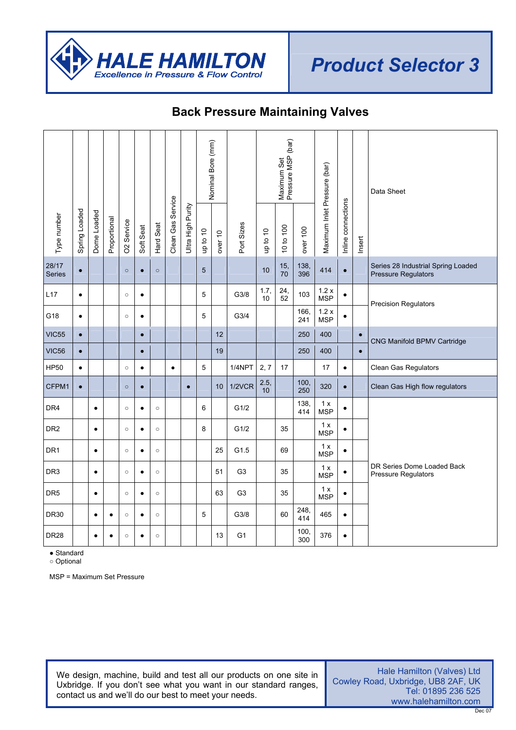

### **Back Pressure Maintaining Valves**

|                 |               |             |              |                        |           |           |                   |                   | Nominal Bore (mm) |         |                |            | Maximum Set<br>Pressure MSP (bar) |             |                              |                    |           | Data Sheet                                                       |
|-----------------|---------------|-------------|--------------|------------------------|-----------|-----------|-------------------|-------------------|-------------------|---------|----------------|------------|-----------------------------------|-------------|------------------------------|--------------------|-----------|------------------------------------------------------------------|
| Type number     | Spring Loaded | Dome Loaded | Proportional | O <sub>2</sub> Service | Soft Seat | Hard Seat | Clean Gas Service | Ultra High Purity | up to 10          | over 10 | Port Sizes     | up to 10   | 10 to 100                         | over 100    | Maximum Inlet Pressure (bar) | Inline connections | Insert    |                                                                  |
| 28/17<br>Series | $\bullet$     |             |              | $\circ$                | $\bullet$ | $\circ$   |                   |                   | 5                 |         |                | 10         | 15,<br>70                         | 138,<br>396 | 414                          | $\bullet$          |           | Series 28 Industrial Spring Loaded<br><b>Pressure Regulators</b> |
| L17             | $\bullet$     |             |              | $\circ$                | $\bullet$ |           |                   |                   | 5                 |         | G3/8           | 1.7,<br>10 | 24,<br>52                         | 103         | 1.2x<br><b>MSP</b>           | $\bullet$          |           | <b>Precision Regulators</b>                                      |
| G18             | $\bullet$     |             |              | $\circ$                | $\bullet$ |           |                   |                   | 5                 |         | G3/4           |            |                                   | 166,<br>241 | 1.2x<br><b>MSP</b>           | $\bullet$          |           |                                                                  |
| <b>VIC55</b>    | $\bullet$     |             |              |                        | $\bullet$ |           |                   |                   |                   | 12      |                |            |                                   | 250         | 400                          |                    | $\bullet$ | CNG Manifold BPMV Cartridge                                      |
| <b>VIC56</b>    | $\bullet$     |             |              |                        | $\bullet$ |           |                   |                   |                   | 19      |                |            |                                   | 250         | 400                          |                    | $\bullet$ |                                                                  |
| <b>HP50</b>     | $\bullet$     |             |              | $\circ$                | $\bullet$ |           | $\bullet$         |                   | 5                 |         | 1/4NPT         | 2, 7       | 17                                |             | 17                           | $\bullet$          |           | Clean Gas Regulators                                             |
| CFPM1           | $\bullet$     |             |              | $\circ$                | $\bullet$ |           |                   | $\bullet$         |                   | 10      | 1/2VCR         | 2.5,<br>10 |                                   | 100.<br>250 | 320                          | $\bullet$          |           | Clean Gas High flow regulators                                   |
| DR4             |               | $\bullet$   |              | $\circ$                | $\bullet$ | $\circ$   |                   |                   | 6                 |         | G1/2           |            |                                   | 138,<br>414 | 1x<br><b>MSP</b>             | $\bullet$          |           |                                                                  |
| DR <sub>2</sub> |               | $\bullet$   |              | $\circ$                | $\bullet$ | $\circ$   |                   |                   | 8                 |         | G1/2           |            | 35                                |             | 1 x<br><b>MSP</b>            | $\bullet$          |           |                                                                  |
| DR <sub>1</sub> |               | $\bullet$   |              | $\circ$                | $\bullet$ | $\circ$   |                   |                   |                   | 25      | G1.5           |            | 69                                |             | 1 x<br><b>MSP</b>            | $\bullet$          |           |                                                                  |
| DR <sub>3</sub> |               | $\bullet$   |              | $\circ$                | $\bullet$ | $\circ$   |                   |                   |                   | 51      | G <sub>3</sub> |            | 35                                |             | 1x<br><b>MSP</b>             | $\bullet$          |           | DR Series Dome Loaded Back<br><b>Pressure Regulators</b>         |
| DR <sub>5</sub> |               | $\bullet$   |              | $\circ$                | $\bullet$ | $\circ$   |                   |                   |                   | 63      | G <sub>3</sub> |            | 35                                |             | 1 x<br><b>MSP</b>            | $\bullet$          |           |                                                                  |
| <b>DR30</b>     |               | $\bullet$   | $\bullet$    | $\circ$                | $\bullet$ | $\circ$   |                   |                   | 5                 |         | G3/8           |            | 60                                | 248,<br>414 | 465                          | $\bullet$          |           |                                                                  |
| <b>DR28</b>     |               | $\bullet$   | $\bullet$    | $\circ$                | $\bullet$ | $\circ$   |                   |                   |                   | 13      | G <sub>1</sub> |            |                                   | 100,<br>300 | 376                          | $\bullet$          |           |                                                                  |

● Standard

○ Optional

MSP = Maximum Set Pressure

We design, machine, build and test all our products on one site in Uxbridge. If you don't see what you want in our standard ranges, contact us and we'll do our best to meet your needs.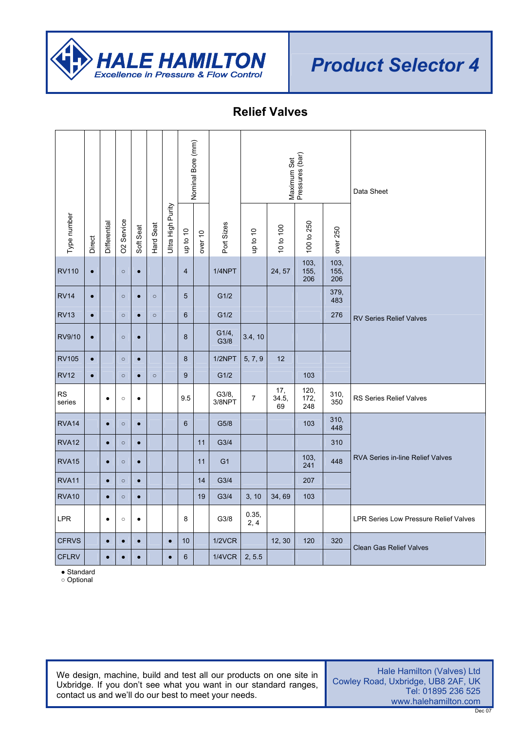

#### **Relief Valves**

| Type number         | Direct    | Differential | <b>O2</b> Service | Soft Seat | Hard Seat | Ultra High Purity | Nominal Bore (mm)<br>up to 10 | over 10 | Port Sizes       | up to 10       | 10 to 100          | Maximum Set<br>Pressures (bar)<br>100 to 250 | over 250    | Data Sheet                                   |
|---------------------|-----------|--------------|-------------------|-----------|-----------|-------------------|-------------------------------|---------|------------------|----------------|--------------------|----------------------------------------------|-------------|----------------------------------------------|
|                     |           |              |                   |           |           |                   |                               |         |                  |                |                    | 103,                                         | 103,        |                                              |
| <b>RV110</b>        | $\bullet$ |              | $\circ$           | $\bullet$ |           |                   | $\overline{4}$                |         | 1/4NPT           |                | 24, 57             | 155,<br>206                                  | 155,<br>206 |                                              |
| <b>RV14</b>         | $\bullet$ |              | $\circ$           | $\bullet$ | $\circ$   |                   | 5                             |         | G1/2             |                |                    |                                              | 379,<br>483 |                                              |
| <b>RV13</b>         | $\bullet$ |              | $\circ$           | $\bullet$ | $\circ$   |                   | $6\phantom{1}$                |         | G1/2             |                |                    |                                              | 276         | <b>RV Series Relief Valves</b>               |
| RV9/10              | $\bullet$ |              | $\circ$           | $\bullet$ |           |                   | 8                             |         | G1/4,<br>G3/8    | 3.4, 10        |                    |                                              |             |                                              |
| <b>RV105</b>        | $\bullet$ |              | $\circ$           | $\bullet$ |           |                   | 8                             |         | 1/2NPT           | 5, 7, 9        | 12                 |                                              |             |                                              |
| <b>RV12</b>         | $\bullet$ |              | $\circ$           | $\bullet$ | $\circ$   |                   | 9                             |         | G1/2             |                |                    | 103                                          |             |                                              |
| <b>RS</b><br>series |           | $\bullet$    | $\circ$           | $\bullet$ |           |                   | 9.5                           |         | G3/8,<br>3/8NPT  | $\overline{7}$ | 17,<br>34.5,<br>69 | 120,<br>172,<br>248                          | 310,<br>350 | RS Series Relief Valves                      |
| RVA <sub>14</sub>   |           | $\bullet$    | $\circ$           | $\bullet$ |           |                   | $6\phantom{1}6$               |         | G5/8             |                |                    | 103                                          | 310,<br>448 |                                              |
| <b>RVA12</b>        |           | $\bullet$    | $\circ$           | $\bullet$ |           |                   |                               | 11      | G3/4             |                |                    |                                              | 310         |                                              |
| <b>RVA15</b>        |           | $\bullet$    | $\circ$           | $\bullet$ |           |                   |                               | 11      | G <sub>1</sub>   |                |                    | 103,<br>241                                  | 448         | <b>RVA Series in-line Relief Valves</b>      |
| RVA11               |           | $\bullet$    | $\circ$           | $\bullet$ |           |                   |                               | 14      | G <sub>3/4</sub> |                |                    | 207                                          |             |                                              |
| RVA10               |           | $\bullet$    | $\circ$           | $\bullet$ |           |                   |                               | 19      | G3/4             | 3, 10          | 34,69              | 103                                          |             |                                              |
| LPR                 |           | $\bullet$    | $\circ$           | $\bullet$ |           |                   | 8                             |         | G3/8             | 0.35,<br>2, 4  |                    |                                              |             | <b>LPR Series Low Pressure Relief Valves</b> |
| <b>CFRVS</b>        |           | $\bullet$    | $\bullet$         | $\bullet$ |           | $\bullet$         | 10                            |         | 1/2VCR           |                | 12, 30             | 120                                          | 320         | <b>Clean Gas Relief Valves</b>               |
| <b>CFLRV</b>        |           | $\bullet$    | $\bullet$         | $\bullet$ |           | $\bullet$         | 6                             |         | <b>1/4VCR</b>    | 2, 5.5         |                    |                                              |             |                                              |

● Standard

○ Optional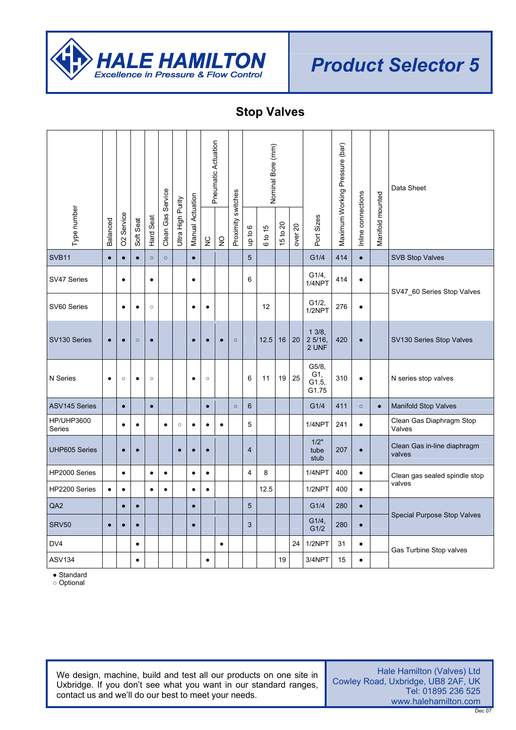

## **Stop Valves**

|                             |           |                        |           |           |                   |                   |                  | Pneumatic Actuation |               |                    |                | Nominal Bore (mm) |          |                    |                                | Maximum Working Pressure (bar) |                    |                  | Data Sheet                            |
|-----------------------------|-----------|------------------------|-----------|-----------|-------------------|-------------------|------------------|---------------------|---------------|--------------------|----------------|-------------------|----------|--------------------|--------------------------------|--------------------------------|--------------------|------------------|---------------------------------------|
| Type number                 | Balanced  | O <sub>2</sub> Service | Soft Seat | Hard Seat | Clean Gas Service | Ultra High Purity | Manual Actuation | $\gtrsim$           | $\frac{0}{2}$ | Proximity switches | op to 6        | 6 to 15           | 15 to 20 | over <sub>20</sub> | Port Sizes                     |                                | Inline connections | Manifold mounted |                                       |
| SVB11                       | $\bullet$ | $\bullet$              | $\bullet$ | $\circ$   | $\circ$           |                   | $\bullet$        |                     |               |                    | 5              |                   |          |                    | G1/4                           | 414                            | $\bullet$          |                  | <b>SVB Stop Valves</b>                |
| SV47 Series                 |           | $\bullet$              |           | $\bullet$ |                   |                   | $\bullet$        |                     |               |                    | 6              |                   |          |                    | G1/4,<br>1/4NPT                | 414                            | $\bullet$          |                  | SV47_60 Series Stop Valves            |
| SV60 Series                 |           | $\bullet$              | $\bullet$ | $\circ$   |                   |                   | $\bullet$        | ٠                   |               |                    |                | 12                |          |                    | G1/2,<br>1/2NPT                | 276                            | $\bullet$          |                  |                                       |
| SV130 Series                | $\bullet$ | $\bullet$              | $\circ$   | $\bullet$ |                   |                   | $\bullet$        |                     | $\bullet$     | $\circ$            |                | 12.5              | 16       | 20                 | 13/8,<br>25/16,<br>2 UNF       | 420                            | $\bullet$          |                  | SV130 Series Stop Valves              |
| N Series                    | $\bullet$ | $\circ$                | $\bullet$ | $\circ$   |                   |                   | $\bullet$        | $\circ$             |               |                    | 6              | 11                | 19       | 25                 | G5/8,<br>G1,<br>G1.5,<br>G1.75 | 310                            | $\bullet$          |                  | N series stop valves                  |
| <b>ASV145 Series</b>        |           | $\bullet$              |           | $\bullet$ |                   |                   |                  | $\bullet$           |               | $\circ$            | 6              |                   |          |                    | G1/4                           | 411                            | $\circ$            | $\bullet$        | <b>Manifold Stop Valves</b>           |
| <b>HP/UHP3600</b><br>Series |           | $\bullet$              | $\bullet$ |           | $\bullet$         | $\circ$           | $\bullet$        | $\bullet$           | $\bullet$     |                    | 5              |                   |          |                    | 1/4NPT                         | 241                            | $\bullet$          |                  | Clean Gas Diaphragm Stop<br>Valves    |
| <b>UHP605 Series</b>        |           | $\bullet$              | $\bullet$ |           |                   | $\bullet$         | $\bullet$        | $\bullet$           |               |                    | $\overline{4}$ |                   |          |                    | 1/2"<br>tube<br>stub           | 207                            | $\bullet$          |                  | Clean Gas in-line diaphragm<br>valves |
| HP2000 Series               |           | $\bullet$              |           | $\bullet$ | $\bullet$         |                   | $\bullet$        | $\bullet$           |               |                    | $\overline{4}$ | 8                 |          |                    | 1/4NPT                         | 400                            | $\bullet$          |                  | Clean gas sealed spindle stop         |
| HP2200 Series               | $\bullet$ | $\bullet$              |           | $\bullet$ | $\bullet$         |                   | $\bullet$        | $\bullet$           |               |                    |                | 12.5              |          |                    | 1/2NPT                         | 400                            | $\bullet$          |                  | valves                                |
| QA2                         |           | $\bullet$              | $\bullet$ |           |                   |                   | $\bullet$        |                     |               |                    | 5              |                   |          |                    | G1/4                           | 280                            | $\bullet$          |                  |                                       |
| <b>SRV50</b>                | $\bullet$ | $\bullet$              | $\bullet$ |           |                   |                   | $\bullet$        |                     |               |                    | 3              |                   |          |                    | G1/4,<br>G1/2                  | 280                            | $\bullet$          |                  | Special Purpose Stop Valves           |
| DV4                         |           |                        | $\bullet$ |           |                   |                   |                  |                     | $\bullet$     |                    |                |                   |          | 24                 | 1/2NPT                         | 31                             | $\bullet$          |                  | Gas Turbine Stop valves               |
| <b>ASV134</b>               |           |                        | $\bullet$ |           |                   |                   |                  | $\bullet$           |               |                    |                |                   | 19       |                    | 3/4NPT                         | 15                             | $\bullet$          |                  |                                       |

● Standard

○ Optional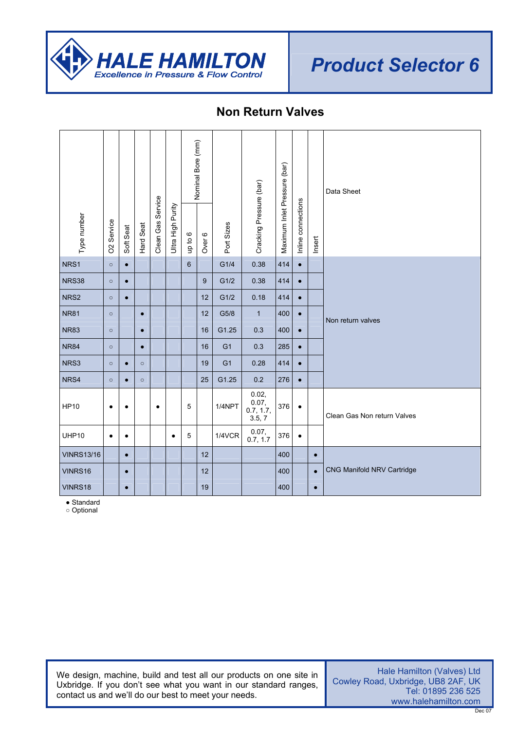

# **Non Return Valves**

|                   |                   |           |           |                   |                   |                           | Nominal Bore (mm) |                |                                    |                              |                    |           | Data Sheet                  |
|-------------------|-------------------|-----------|-----------|-------------------|-------------------|---------------------------|-------------------|----------------|------------------------------------|------------------------------|--------------------|-----------|-----------------------------|
| Type number       | <b>O2</b> Service | Soft Seat | Hard Seat | Clean Gas Service | Ultra High Purity | $\mathbf{\circ}$<br>up to | Over 6            | Port Sizes     | Cracking Pressure (bar)            | Maximum Inlet Pressure (bar) | Inline connections | Insert    |                             |
| NRS1              | $\circ$           | $\bullet$ |           |                   |                   | $6\phantom{1}$            |                   | G1/4           | 0.38                               | 414                          | $\bullet$          |           |                             |
| <b>NRS38</b>      | $\circ$           | $\bullet$ |           |                   |                   |                           | 9                 | G1/2           | 0.38                               | 414                          | $\bullet$          |           |                             |
| NRS2              | $\circ$           | $\bullet$ |           |                   |                   |                           | 12                | G1/2           | 0.18                               | 414                          | $\bullet$          |           |                             |
| <b>NR81</b>       | $\circ$           |           | $\bullet$ |                   |                   |                           | 12                | G5/8           | $\mathbf{1}$                       | 400                          | $\bullet$          |           | Non return valves           |
| <b>NR83</b>       | $\circ$           |           | $\bullet$ |                   |                   |                           | 16                | G1.25          | 0.3                                | 400                          | $\bullet$          |           |                             |
| <b>NR84</b>       | $\circ$           |           | $\bullet$ |                   |                   |                           | 16                | G <sub>1</sub> | 0.3                                | 285                          | $\bullet$          |           |                             |
| NRS3              | $\circ$           | $\bullet$ | $\circ$   |                   |                   |                           | 19                | G <sub>1</sub> | 0.28                               | 414                          | $\bullet$          |           |                             |
| NRS4              | $\circ$           | $\bullet$ | $\circ$   |                   |                   |                           | 25                | G1.25          | 0.2                                | 276                          | $\bullet$          |           |                             |
| <b>HP10</b>       | $\bullet$         | $\bullet$ |           | $\bullet$         |                   | 5                         |                   | 1/4NPT         | 0.02,<br>0.07, 0.7, 1.7,<br>3.5, 7 | 376                          | $\bullet$          |           | Clean Gas Non return Valves |
| UHP10             | $\bullet$         | $\bullet$ |           |                   | ٠                 | 5                         |                   | 1/4VCR         | 0.07,<br>0.7, 1.7                  | 376                          | $\bullet$          |           |                             |
| <b>VINRS13/16</b> |                   | $\bullet$ |           |                   |                   |                           | 12                |                |                                    | 400                          |                    | $\bullet$ |                             |
| VINRS16           |                   | $\bullet$ |           |                   |                   |                           | 12                |                |                                    | 400                          |                    | $\bullet$ | CNG Manifold NRV Cartridge  |
| VINRS18           |                   | $\bullet$ |           |                   |                   |                           | 19                |                |                                    | 400                          |                    | $\bullet$ |                             |

● Standard

○ Optional

We design, machine, build and test all our products on one site in Uxbridge. If you don't see what you want in our standard ranges, contact us and we'll do our best to meet your needs.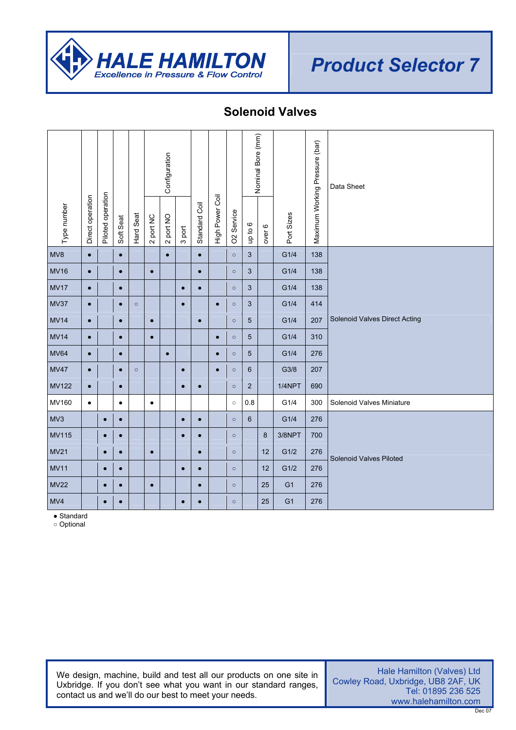

#### **Solenoid Valves**

|              |                  |                   |           |           |           | Configuration |           |               |                 |                        |                           | Nominal Bore (mm) |                | Maximum Working Pressure (bar) | Data Sheet                    |
|--------------|------------------|-------------------|-----------|-----------|-----------|---------------|-----------|---------------|-----------------|------------------------|---------------------------|-------------------|----------------|--------------------------------|-------------------------------|
| Type number  | Direct operation | Piloted operation | Soft Seat | Hard Seat | 2 port NC | 2 port NO     | 3 port    | Standard Coil | High Power Coil | O <sub>2</sub> Service | $\mathbf{\circ}$<br>up to | over 6            | Port Sizes     |                                |                               |
| MV8          | $\bullet$        |                   | $\bullet$ |           |           | $\bullet$     |           | $\bullet$     |                 | $\circ$                | 3                         |                   | G1/4           | 138                            |                               |
| <b>MV16</b>  | $\bullet$        |                   | $\bullet$ |           | $\bullet$ |               |           | $\bullet$     |                 | $\circ$                | 3                         |                   | G1/4           | 138                            |                               |
| <b>MV17</b>  | $\bullet$        |                   | $\bullet$ |           |           |               | $\bullet$ | $\bullet$     |                 | $\circ$                | 3                         |                   | G1/4           | 138                            |                               |
| <b>MV37</b>  | $\bullet$        |                   | $\bullet$ | $\circ$   |           |               | $\bullet$ |               | $\bullet$       | $\circ$                | 3                         |                   | G1/4           | 414                            |                               |
| <b>MV14</b>  | $\bullet$        |                   | $\bullet$ |           | $\bullet$ |               |           | $\bullet$     |                 | $\circ$                | 5                         |                   | G1/4           | 207                            | Solenoid Valves Direct Acting |
| <b>MV14</b>  | $\bullet$        |                   | $\bullet$ |           | $\bullet$ |               |           |               | $\bullet$       | $\circ$                | 5                         |                   | G1/4           | 310                            |                               |
| <b>MV64</b>  | $\bullet$        |                   | $\bullet$ |           |           | $\bullet$     |           |               | $\bullet$       | $\circ$                | 5                         |                   | G1/4           | 276                            |                               |
| <b>MV47</b>  | $\bullet$        |                   | $\bullet$ | $\circ$   |           |               | $\bullet$ |               | $\bullet$       | $\circ$                | 6                         |                   | G3/8           | 207                            |                               |
| <b>MV122</b> | $\bullet$        |                   | $\bullet$ |           |           |               | $\bullet$ | $\bullet$     |                 | $\circ$                | $\overline{2}$            |                   | 1/4NPT         | 690                            |                               |
| MV160        | $\bullet$        |                   | $\bullet$ |           | $\bullet$ |               |           |               |                 | $\circ$                | 0.8                       |                   | G1/4           | 300                            | Solenoid Valves Miniature     |
| MV3          |                  | $\bullet$         | $\bullet$ |           |           |               | $\bullet$ | $\bullet$     |                 | $\circ$                | 6                         |                   | G1/4           | 276                            |                               |
| <b>MV115</b> |                  | $\bullet$         | $\bullet$ |           |           |               | $\bullet$ | $\bullet$     |                 | $\circ$                |                           | 8                 | 3/8NPT         | 700                            |                               |
| <b>MV21</b>  |                  | $\bullet$         | $\bullet$ |           | $\bullet$ |               |           | $\bullet$     |                 | $\circ$                |                           | 12                | G1/2           | 276                            | Solenoid Valves Piloted       |
| <b>MV11</b>  |                  | $\bullet$         | $\bullet$ |           |           |               | $\bullet$ | $\bullet$     |                 | $\circ$                |                           | 12                | G1/2           | 276                            |                               |
| <b>MV22</b>  |                  | $\bullet$         | $\bullet$ |           | $\bullet$ |               |           | $\bullet$     |                 | $\circ$                |                           | 25                | G <sub>1</sub> | 276                            |                               |
| MVA          |                  | $\bullet$         | $\bullet$ |           |           |               | $\bullet$ | $\bullet$     |                 | $\circ$                |                           | 25                | G <sub>1</sub> | 276                            |                               |

● Standard

○ Optional

We design, machine, build and test all our products on one site in Uxbridge. If you don't see what you want in our standard ranges, contact us and we'll do our best to meet your needs.